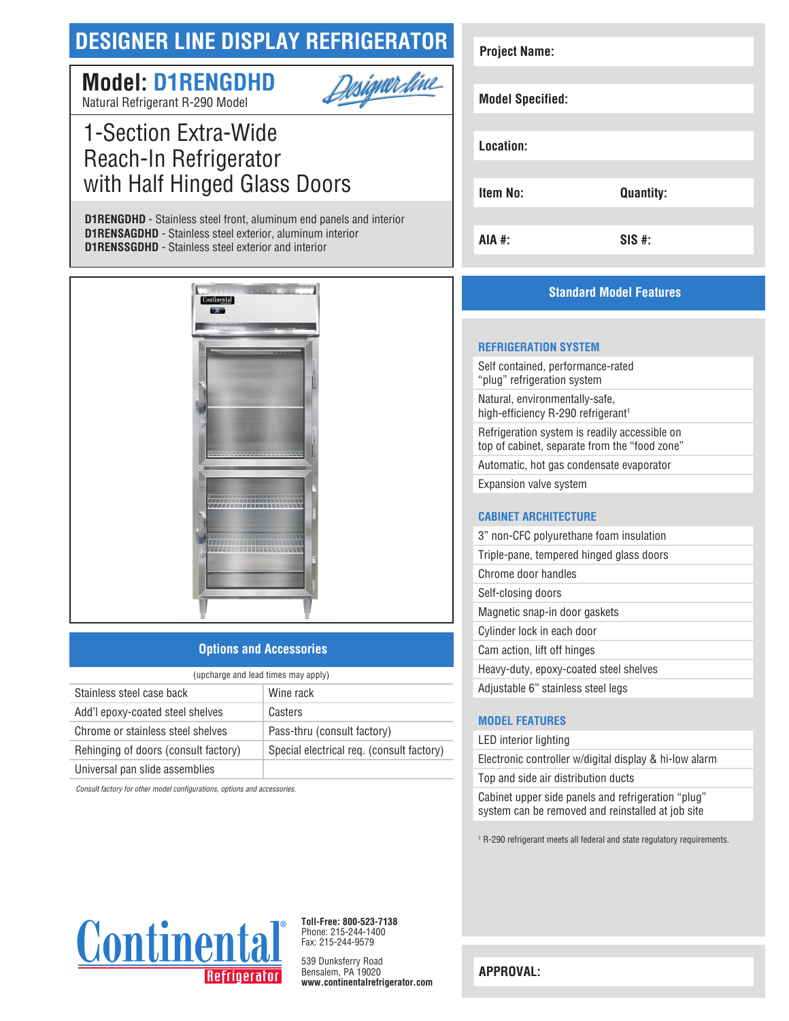# **DESIGNER LINE DISPLAY REFRIGERATOR**

# <u>Designer fine</u> **Model: D1RENGDHD**

Natural Refrigerant R-290 Model

# 1-Section Extra-Wide Reach-In Refrigerator with Half Hinged Glass Doors

**D1RENGDHD** - Stainless steel front, aluminum end panels and interior **D1RENSAGDHD** - Stainless steel exterior, aluminum interior **D1RENSSGDHD** - Stainless steel exterior and interior



### **Options and Accessories**

| (upcharge and lead times may apply)  |                                           |  |
|--------------------------------------|-------------------------------------------|--|
| Stainless steel case back            | Wine rack                                 |  |
| Add'l epoxy-coated steel shelves     | Casters                                   |  |
| Chrome or stainless steel shelves    | Pass-thru (consult factory)               |  |
| Rehinging of doors (consult factory) | Special electrical req. (consult factory) |  |
| Universal pan slide assemblies       |                                           |  |

*Consult factory for other model configurations, options and accessories.*

| <b>Project Name:</b>    |                  |
|-------------------------|------------------|
|                         |                  |
| <b>Model Specified:</b> |                  |
|                         |                  |
| Location:               |                  |
|                         |                  |
| Item No:                | <b>Quantity:</b> |
|                         |                  |
| <b>AIA #:</b>           | <b>SIS#:</b>     |

## **Standard Model Features**

#### **REFRIGERATION SYSTEM**

Self contained, performance-rated "plug" refrigeration system Natural, environmentally-safe, high-efficiency R-290 refrigerant<sup>1</sup> Refrigeration system is readily accessible on top of cabinet, separate from the "food zone" Automatic, hot gas condensate evaporator Expansion valve system

### **CABINET ARCHITECTURE**

| 3" non-CFC polyurethane foam insulation  |
|------------------------------------------|
| Triple-pane, tempered hinged glass doors |
| Chrome door handles                      |
| Self-closing doors                       |
| Magnetic snap-in door gaskets            |
| Cylinder lock in each door               |
| Cam action, lift off hinges              |
| Heavy-duty, epoxy-coated steel shelves   |
| Adjustable 6" stainless steel legs       |

### **MODEL FEATURES**

LED interior lighting

Electronic controller w/digital display & hi-low alarm Top and side air distribution ducts

Cabinet upper side panels and refrigeration "plug" system can be removed and reinstalled at job site

1 R-290 refrigerant meets all federal and state regulatory requirements.



**Toll-Free: 800-523-7138** Phone: 215-244-1400 Fax: 215-244-9579

539 Dunksferry Road Bensalem, PA 19020 **www.continentalrefrigerator.com** 

**APPROVAL:**